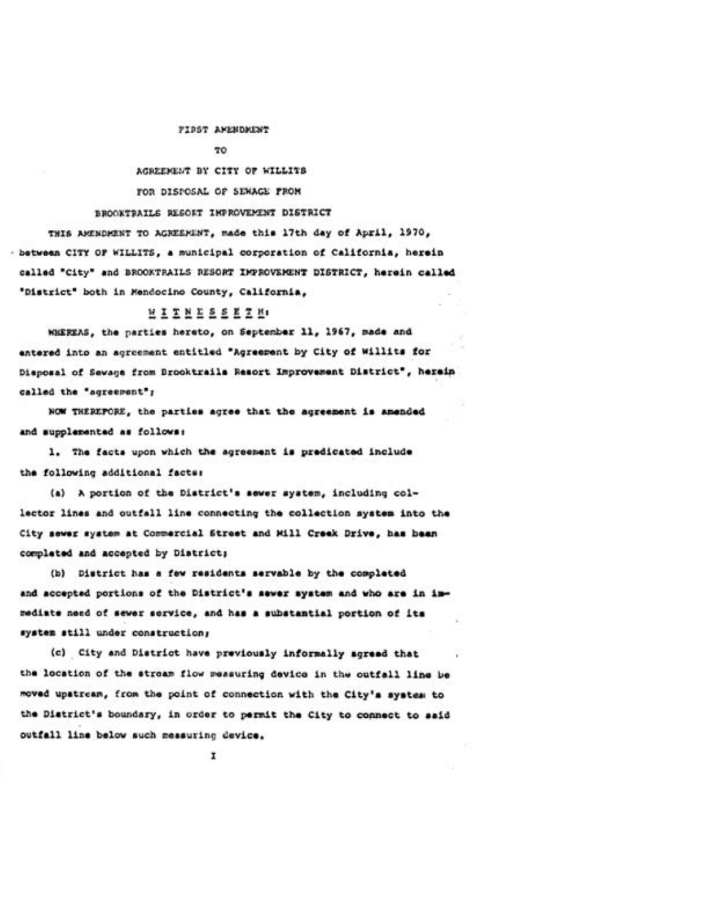## FIRST AMENDMENT

## TO

AGREEMENT BY CITY OF WILLITS FOR DISPOSAL OF SEWAGE FROM

## BROOKTRAILS RESORT INFROVEMENT DISTRICT

THIS AMENDMENT TO AGREEMENT, made this 17th day of April, 1970, - between CITY OF WILLITS, a municipal corporation of California, herein called "City" and BROOKTRAILS RESORT IMPROVEMENT DISTRICT, herein called "District" both in Mendocino County, California,

## WITNESSETH.

WHEREAS, the parties hereto, on September 11, 1967, made and entered into an agreement entitled "Agreement by City of Willits for Disposal of Sevage from Brooktrails Resort Improvement District", herein called the "agreement";

NOW THEREPORE, the parties agree that the agreement is amended and supplemented as follows:

1. The facts upon which the agreement is predicated include the following additional factur

(a) A portion of the District's sever system, including collector lines and outfall line connecting the collection system into the City sewer system at Commercial Street and Mill Creek Drive, has been completed and accepted by District;

(b) District has a few residents servable by the completed and accepted portions of the District's sewer system and who are in immediate need of sewer service, and has a substantial portion of its system still under construction;

(c) City and District have previously informally agreed that the location of the stream flow measuring device in the outfall line be moved upatream, from the point of connection with the City's system to the District's boundary, in order to permit the City to connect to said outfall line below such measuring device.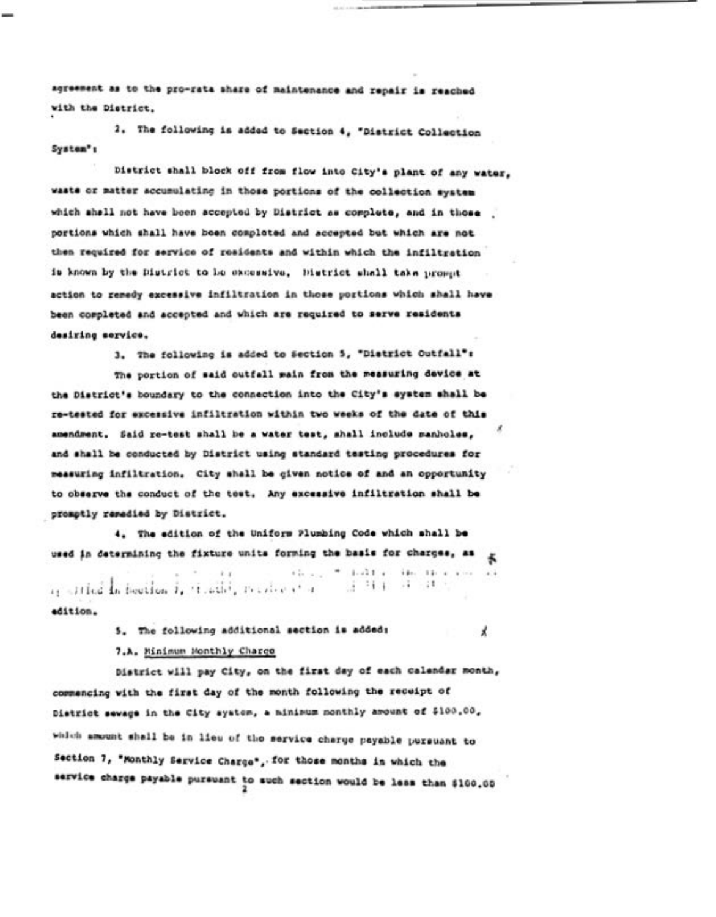agreement as to the pro-rata share of maintenance and repair is reached with the District.

2. The following is added to Section 4, "District Collection System<sup>\*</sup>:

District shall block off from flow into City's plant of any water, waste or matter accumulating in those portions of the collection system which shall not have been accepted by District as complete, and in those portions which shall have been completed and accepted but which are not then required for service of residents and within which the infiltration is known by the District to be excessive. District shall take prompt action to remedy excessive infiltration in those portions which shall have been completed and accepted and which are required to serve residents desiring service.

3. The following is added to Section 5, "District Outfall":

The portion of said outfall main from the measuring device at the District's boundary to the connection into the City's system shall be re-tested for excessive infiltration within two weeks of the date of this amendment. Said re-test shall be a water test, shall include manholes, and shall be conducted by District using standard testing procedures for measuring infiltration. City shall be given notice of and an opportunity to observe the conduct of the test. Any excessive infiltration shall be promptly remedied by District.

4. The edition of the Uniform Plumbing Code which shall be used in determining the fixture units forming the basis for charges, as

thing to hold at the threaten are  $i_1$  string in hootion i, timility resulte at a  $-1$  ,  $-1$  ,  $-1$  ,  $-1$  ,  $-1$ edition.

5. The following additional section is added:

Х

7.A. Minimum Monthly Charge

District will pay City, on the first day of each calendar month, commencing with the first day of the month following the receipt of District sewage in the City system, a minimum monthly amount of \$100.00, which amount shall be in lieu of the service charge psyable pursuant to Section 7, "Monthly Service Charge", for those months in which the service charge payable pursuant to such section would be less than \$100.00